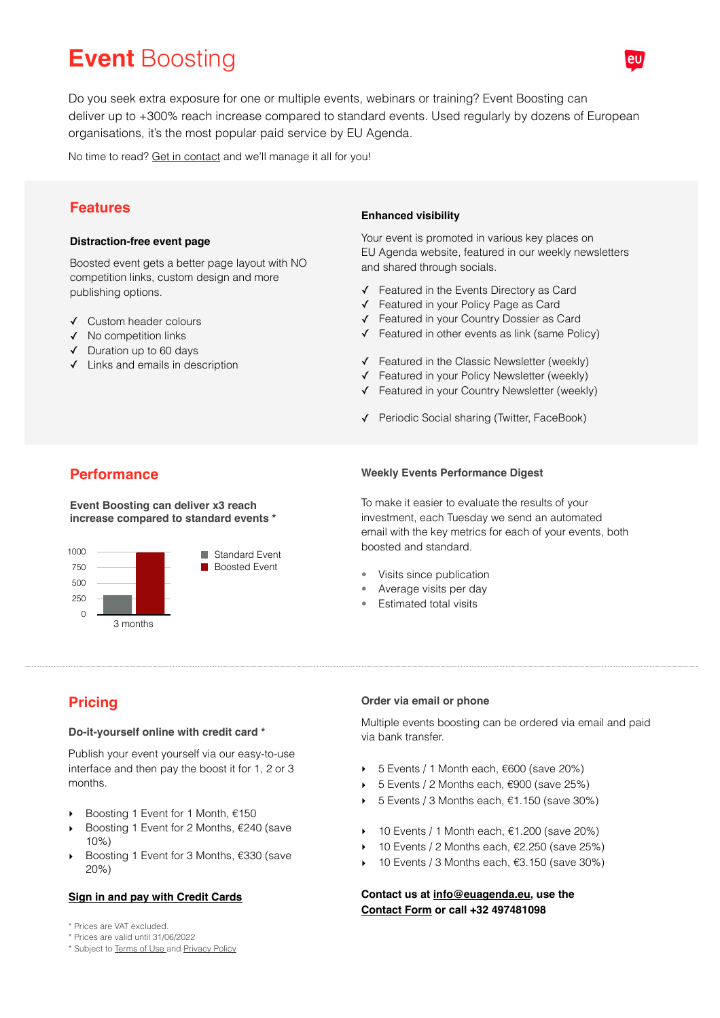# **Event** Boosting

Do you seek extra exposure for one or multiple events, webinars or training? Event Boosting can deliver up to +300% reach increase compared to standard events. Used regularly by dozens of European organisations, it's the most popular paid service by EU Agenda.

No time to read? [Get in contact](mailto:info@euagenda.eu?subject=Event%20Boosting) and we'll manage it all for you!

## **Features**

#### **Distraction-free event page**

Boosted event gets a better page layout with NO competition links, custom design and more publishing options.

- ✓ Custom header colours
- ✓ No competition links
- ✓ Duration up to 60 days
- ✓ Links and emails in description

#### **Enhanced visibility**

Your event is promoted in various key places on EU Agenda website, featured in our weekly newsletters and shared through socials.

- ✓ Featured in the Events Directory as Card
- ✓ Featured in your Policy Page as Card
- ✓ Featured in your Country Dossier as Card
- ✓ Featured in other events as link (same Policy)
- ✓ Featured in the Classic Newsletter (weekly)
- ✓ Featured in your Policy Newsletter (weekly)
- ✓ Featured in your Country Newsletter (weekly)
- ✓ Periodic Social sharing (Twitter, FaceBook)

## **Performance**

**Event Boosting can deliver x3 reach increase compared to standard events \***



#### **Weekly Events Performance Digest**

To make it easier to evaluate the results of your investment, each Tuesday we send an automated email with the key metrics for each of your events, both boosted and standard.

- Visits since publication
- Average visits per day
- Estimated total visits

# **Pricing**

#### **Do-it-yourself online with credit card \***

Publish your event yourself via our easy-to-use interface and then pay the boost it for 1, 2 or 3 months.

- Boosting 1 Event for 1 Month, €150
- ‣ Boosting 1 Event for 2 Months, €240 (save 10%)
- ‣ Boosting 1 Event for 3 Months, €330 (save 20%)

#### **[Sign in and pay with Credit Cards](https://euagenda.eu/login/)**

- \* Prices are VAT excluded.
- \* Prices are valid until 31/06/2022
- \* Subject to [Terms of Use](https://euagenda.eu/about/terms/) [a](http://www.apple.com/uk)nd [Privacy Policy](https://euagenda.eu/about/privacy/)

#### **Order via email or phone**

Multiple events boosting can be ordered via email and paid via bank transfer.

- $\rightarrow$  5 Events / 1 Month each, €600 (save 20%)
- ‣ 5 Events / 2 Months each, €900 (save 25%)
- $▶ 5$  Events / 3 Months each,  $€1.150$  (save 30%)
- $\rightarrow$  10 Events / 1 Month each, €1.200 (save 20%)
- 10 Events / 2 Months each, €2.250 (save 25%)
- $\rightarrow$  10 Events / 3 Months each, €3.150 (save 30%)

**Contact us at [info@euagenda.eu](mailto:info@euagenda.eu), use the [Contact Form](https://euagenda/about/contact/) or call +32 497481098**